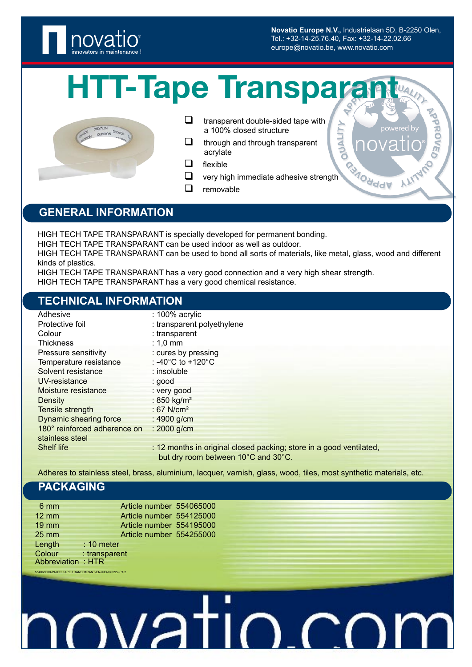

**Novatio Europe N.V.,** Industrielaan 5D, B-2250 Olen, Tel.: +32-14-25.76.40, Fax: +32-14-22.02.66 europe@novatio.be, www.novatio.com

**MALITY** 

## **HTT-Tape Transparant**



 $\Box$  transparent double-sided tape with a 100% closed structure

- $\Box$  through and through transparent acrylate
- $\Box$  flexible
- $\Box$  very high immediate adhesive strength
- $\Box$  removable

#### **GENERAL INFORMATION**

HIGH TECH TAPE TRANSPARANT is specially developed for permanent bonding.

HIGH TECH TAPE TRANSPARANT can be used indoor as well as outdoor.

HIGH TECH TAPE TRANSPARANT can be used to bond all sorts of materials, like metal, glass, wood and different kinds of plastics.

HIGH TECH TAPE TRANSPARANT has a very good connection and a very high shear strength. HIGH TECH TAPE TRANSPARANT has a very good chemical resistance.

#### **TECHNICAL INFORMATION**

| Adhesive                      | $: 100\%$ acrylic                                                   |
|-------------------------------|---------------------------------------------------------------------|
| Protective foil               | : transparent polyethylene                                          |
| Colour                        | : transparent                                                       |
| <b>Thickness</b>              | $: 1,0$ mm                                                          |
| Pressure sensitivity          | : cures by pressing                                                 |
| Temperature resistance        | : -40 $^{\circ}$ C to +120 $^{\circ}$ C                             |
| Solvent resistance            | $:$ insoluble                                                       |
| UV-resistance                 | : good                                                              |
| Moisture resistance           | : very good                                                         |
| Density                       | : 850 kg/m <sup>2</sup>                                             |
| Tensile strength              | : 67 N/cm <sup>2</sup>                                              |
| <b>Dynamic shearing force</b> | : $4900$ g/cm                                                       |
| 180° reinforced adherence on  | $: 2000$ g/cm                                                       |
| stainless steel               |                                                                     |
| <b>Shelf life</b>             | : 12 months in original closed packing; store in a good ventilated, |
|                               | but dry room between 10°C and 30°C.                                 |

Adheres to stainless steel, brass, aluminium, lacquer, varnish, glass, wood, tiles, most synthetic materials, etc.

#### **PACKAGING**

554068000-PI-HTT TAPE TRANSPARANT-EN-IND-070222-P1/2

| $6 \text{ mm}$    |               |  | Article number 554065000 |
|-------------------|---------------|--|--------------------------|
| $12 \, \text{mm}$ |               |  | Article number 554125000 |
| $19$ mm           |               |  | Article number 554195000 |
| $25 \, \text{mm}$ |               |  | Article number 554255000 |
| Length            | $: 10$ meter  |  |                          |
| Colour            | : transparent |  |                          |
| Abbreviation: HTR |               |  |                          |

### nvati ヿ (  $\mathbin{\char`\^}$